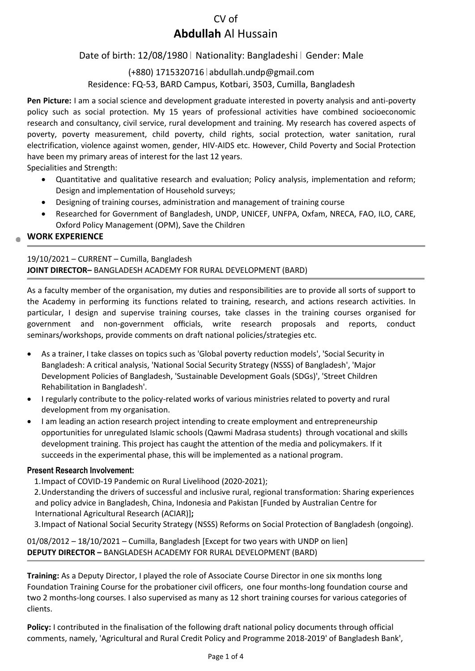# CV of **Abdullah** Al Hussain

## Date of birth: 12/08/1980 | Nationality: Bangladeshi | Gender: Male

## (+880) 1715320716 abdullah.undp@gmail.com Residence: FQ-53, BARD Campus, Kotbari, 3503, Cumilla, Bangladesh

**Pen Picture:** I am a social science and development graduate interested in poverty analysis and anti-poverty policy such as social protection. My 15 years of professional activities have combined socioeconomic research and consultancy, civil service, rural development and training. My research has covered aspects of poverty, poverty measurement, child poverty, child rights, social protection, water sanitation, rural electrification, violence against women, gender, HIV-AIDS etc. However, Child Poverty and Social Protection have been my primary areas of interest for the last 12 years.

Specialities and Strength:

- Quantitative and qualitative research and evaluation; Policy analysis, implementation and reform; Design and implementation of Household surveys;
- Designing of training courses, administration and management of training course
- Researched for Government of Bangladesh, UNDP, UNICEF, UNFPA, Oxfam, NRECA, FAO, ILO, CARE, Oxford Policy Management (OPM), Save the Children

## **WORK EXPERIENCE**

## 19/10/2021 – CURRENT – Cumilla, Bangladesh **JOINT DIRECTOR–** BANGLADESH ACADEMY FOR RURAL DEVELOPMENT (BARD)

As a faculty member of the organisation, my duties and responsibilities are to provide all sorts of support to the Academy in performing its functions related to training, research, and actions research activities. In particular, I design and supervise training courses, take classes in the training courses organised for government and non-government officials, write research proposals and reports, conduct seminars/workshops, provide comments on draft national policies/strategies etc.

- As a trainer, I take classes on topics such as 'Global poverty reduction models', 'Social Security in Bangladesh: A critical analysis, 'National Social Security Strategy (NSSS) of Bangladesh', 'Major Development Policies of Bangladesh, 'Sustainable Development Goals (SDGs)', 'Street Children Rehabilitation in Bangladesh'.
- I regularly contribute to the policy-related works of various ministries related to poverty and rural development from my organisation.
- I am leading an action research project intending to create employment and entrepreneurship opportunities for unregulated Islamic schools (Qawmi Madrasa students) through vocational and skills development training. This project has caught the attention of the media and policymakers. If it succeeds in the experimental phase, this will be implemented as a national program.

#### **Present Research Involvement:**

1.Impact of COVID-19 Pandemic on Rural Livelihood (2020-2021);

2.Understanding the drivers of successful and inclusive rural, regional transformation: Sharing experiences and policy advice in Bangladesh, China, Indonesia and Pakistan [Funded by Australian Centre for International Agricultural Research (ACIAR)]**;** 

3.Impact of National Social Security Strategy (NSSS) Reforms on Social Protection of Bangladesh (ongoing).

01/08/2012 – 18/10/2021 – Cumilla, Bangladesh [Except for two years with UNDP on lien] **DEPUTY DIRECTOR –** BANGLADESH ACADEMY FOR RURAL DEVELOPMENT (BARD)

**Training:** As a Deputy Director, I played the role of Associate Course Director in one six months long Foundation Training Course for the probationer civil officers, one four months-long foundation course and two 2 months-long courses. I also supervised as many as 12 short training courses for various categories of clients.

**Policy:** I contributed in the finalisation of the following draft national policy documents through official comments, namely, 'Agricultural and Rural Credit Policy and Programme 2018-2019' of Bangladesh Bank',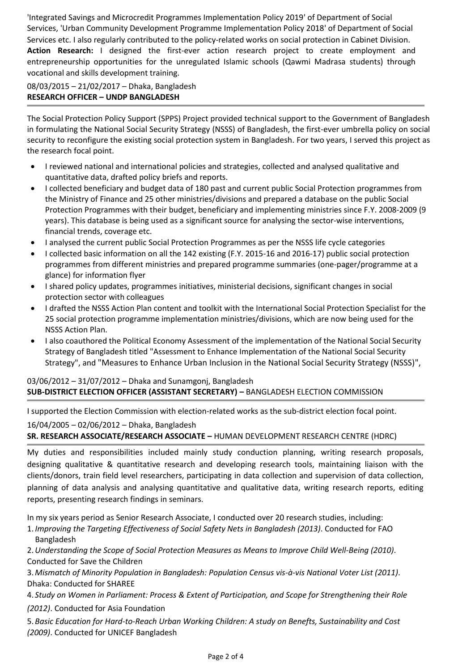'Integrated Savings and Microcredit Programmes Implementation Policy 2019' of Department of Social Services, 'Urban Community Development Programme Implementation Policy 2018' of Department of Social Services etc. I also regularly contributed to the policy-related works on social protection in Cabinet Division. **Action Research:** I designed the first-ever action research project to create employment and entrepreneurship opportunities for the unregulated Islamic schools (Qawmi Madrasa students) through vocational and skills development training.

## 08/03/2015 – 21/02/2017 – Dhaka, Bangladesh **RESEARCH OFFICER – UNDP BANGLADESH**

The Social Protection Policy Support (SPPS) Project provided technical support to the Government of Bangladesh in formulating the National Social Security Strategy (NSSS) of Bangladesh, the first-ever umbrella policy on social security to reconfigure the existing social protection system in Bangladesh. For two years, I served this project as the research focal point.

- I reviewed national and international policies and strategies, collected and analysed qualitative and quantitative data, drafted policy briefs and reports.
- I collected beneficiary and budget data of 180 past and current public Social Protection programmes from the Ministry of Finance and 25 other ministries/divisions and prepared a database on the public Social Protection Programmes with their budget, beneficiary and implementing ministries since F.Y. 2008-2009 (9 years). This database is being used as a significant source for analysing the sector-wise interventions, financial trends, coverage etc.
- I analysed the current public Social Protection Programmes as per the NSSS life cycle categories
- I collected basic information on all the 142 existing (F.Y. 2015-16 and 2016-17) public social protection programmes from different ministries and prepared programme summaries (one-pager/programme at a glance) for information flyer
- I shared policy updates, programmes initiatives, ministerial decisions, significant changes in social protection sector with colleagues
- I drafted the NSSS Action Plan content and toolkit with the International Social Protection Specialist for the 25 social protection programme implementation ministries/divisions, which are now being used for the NSSS Action Plan.
- I also coauthored the Political Economy Assessment of the implementation of the National Social Security Strategy of Bangladesh titled "Assessment to Enhance Implementation of the National Social Security Strategy", and "Measures to Enhance Urban Inclusion in the National Social Security Strategy (NSSS)",

## 03/06/2012 – 31/07/2012 – Dhaka and Sunamgonj, Bangladesh **SUB-DISTRICT ELECTION OFFICER (ASSISTANT SECRETARY) –** BANGLADESH ELECTION COMMISSION

I supported the Election Commission with election-related works as the sub-district election focal point. 16/04/2005 – 02/06/2012 – Dhaka, Bangladesh

## **SR. RESEARCH ASSOCIATE/RESEARCH ASSOCIATE –** HUMAN DEVELOPMENT RESEARCH CENTRE (HDRC)

My duties and responsibilities included mainly study conduction planning, writing research proposals, designing qualitative & quantitative research and developing research tools, maintaining liaison with the clients/donors, train field level researchers, participating in data collection and supervision of data collection, planning of data analysis and analysing quantitative and qualitative data, writing research reports, editing reports, presenting research findings in seminars.

In my six years period as Senior Research Associate, I conducted over 20 research studies, including:

1. *Improving the Targeting Effectiveness of Social Safety Nets in Bangladesh (2013)*. Conducted for FAO Bangladesh

2.*Understanding the Scope of Social Protection Measures as Means to Improve Child Well-Being (2010)*. Conducted for Save the Children

3.*Mismatch of Minority Population in Bangladesh: Population Census vis-à-vis National Voter List (2011)*. Dhaka: Conducted for SHAREE

4. *Study on Women in Parliament: Process & Extent of Participation, and Scope for Strengthening their Role (2012)*. Conducted for Asia Foundation

5.*Basic Education for Hard-to-Reach Urban Working Children: A study on Benefts, Sustainability and Cost (2009)*. Conducted for UNICEF Bangladesh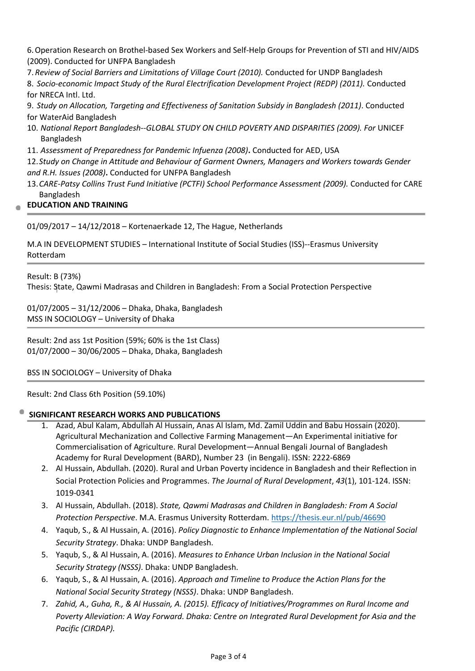6.Operation Research on Brothel-based Sex Workers and Self-Help Groups for Prevention of STI and HIV/AIDS (2009). Conducted for UNFPA Bangladesh

7. *Review of Social Barriers and Limitations of Village Court (2010).* Conducted for UNDP Bangladesh

8. *Socio-economic Impact Study of the Rural Electrification Development Project (REDP) (2011).* Conducted for NRECA Intl. Ltd.

9. *Study on Allocation, Targeting and Effectiveness of Sanitation Subsidy in Bangladesh (2011)*. Conducted for WaterAid Bangladesh

- 10. *National Report Bangladesh--GLOBAL STUDY ON CHILD POVERTY AND DISPARITIES (2009). For* UNICEF Bangladesh
- 11. *Assessment of Preparedness for Pandemic Infuenza (2008)***.** Conducted for AED, USA

12.*Study on Change in Attitude and Behaviour of Garment Owners, Managers and Workers towards Gender and R.H. Issues (2008)***.** Conducted for UNFPA Bangladesh

13.*CARE-Patsy Collins Trust Fund Initiative (PCTFI) School Performance Assessment (2009).* Conducted for CARE Bangladesh

## **EDUCATION AND TRAINING**

01/09/2017 – 14/12/2018 – Kortenaerkade 12, The Hague, Netherlands

M.A IN DEVELOPMENT STUDIES – International Institute of Social Studies (ISS)--Erasmus University Rotterdam

Result: B (73%) Thesis: State, Qawmi Madrasas and Children in Bangladesh: From a Social Protection Perspective

01/07/2005 – 31/12/2006 – Dhaka, Dhaka, Bangladesh MSS IN SOCIOLOGY – University of Dhaka

Result: 2nd ass 1st Position (59%; 60% is the 1st Class) 01/07/2000 – 30/06/2005 – Dhaka, Dhaka, Bangladesh

BSS IN SOCIOLOGY – University of Dhaka

Result: 2nd Class 6th Position (59.10%)

## **SIGNIFICANT RESEARCH WORKS AND PUBLICATIONS**

- 1. Azad, Abul Kalam, Abdullah Al Hussain, Anas Al Islam, Md. Zamil Uddin and Babu Hossain (2020). Agricultural Mechanization and Collective Farming Management—An Experimental initiative for Commercialisation of Agriculture. Rural Development—Annual Bengali Journal of Bangladesh Academy for Rural Development (BARD), Number 23 (in Bengali). ISSN: 2222-6869
- 2. Al Hussain, Abdullah. (2020). Rural and Urban Poverty incidence in Bangladesh and their Reflection in Social Protection Policies and Programmes. *The Journal of Rural Development*, *43*(1), 101-124. ISSN: 1019-0341
- 3. Al Hussain, Abdullah. (2018). *State, Qawmi Madrasas and Children in Bangladesh: From A Social Protection Perspective*. M.A. Erasmus University Rotterdam.<https://thesis.eur.nl/pub/46690>
- 4. Yaqub, S., & Al Hussain, A. (2016). *Policy Diagnostic to Enhance Implementation of the National Social Security Strategy*. Dhaka: UNDP Bangladesh.
- 5. Yaqub, S., & Al Hussain, A. (2016). *Measures to Enhance Urban Inclusion in the National Social Security Strategy (NSSS)*. Dhaka: UNDP Bangladesh.
- 6. Yaqub, S., & Al Hussain, A. (2016). *Approach and Timeline to Produce the Action Plans for the National Social Security Strategy (NSSS)*. Dhaka: UNDP Bangladesh.
- 7. *Zahid, A., Guha, R., & Al Hussain, A. (2015). Efficacy of Initiatives/Programmes on Rural Income and Poverty Alleviation: A Way Forward. Dhaka: Centre on Integrated Rural Development for Asia and the Pacific (CIRDAP).*